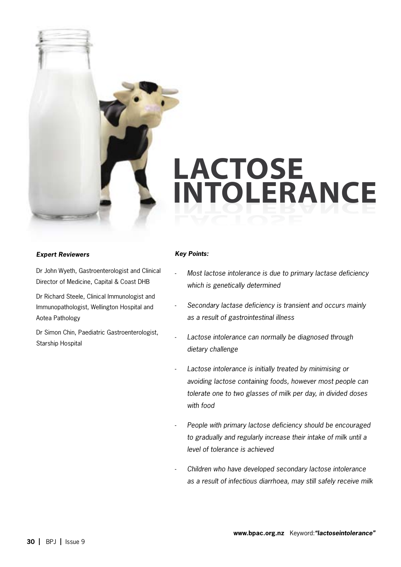

# **LACTOSE** intolerance

## *Expert Reviewers*

Dr John Wyeth, Gastroenterologist and Clinical Director of Medicine, Capital & Coast DHB

Dr Richard Steele, Clinical Immunologist and Immunopathologist, Wellington Hospital and Aotea Pathology

Dr Simon Chin, Paediatric Gastroenterologist, Starship Hospital

### *Key Points:*

-

- *Most lactose intolerance is due to primary lactase deficiency which is genetically determined*
- *Secondary lactase deficiency is transient and occurs mainly as a result of gastrointestinal illness* -
- *Lactose intolerance can normally be diagnosed through dietary challenge*  -
- *Lactose intolerance is initially treated by minimising or avoiding lactose containing foods, however most people can tolerate one to two glasses of milk per day, in divided doses with food* -
- *People with primary lactose deficiency should be encouraged to gradually and regularly increase their intake of milk until a level of tolerance is achieved* -
- *Children who have developed secondary lactose intolerance as a result of infectious diarrhoea, may still safely receive milk* -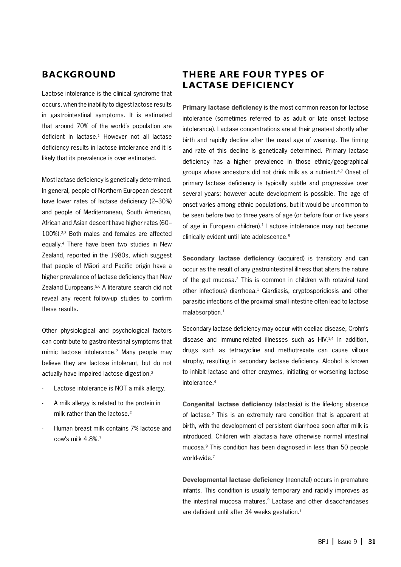## **BACKGROUND**

Lactose intolerance is the clinical syndrome that occurs, when the inability to digest lactose results in gastrointestinal symptoms. It is estimated that around 70% of the world's population are deficient in lactase.<sup>1</sup> However not all lactase deficiency results in lactose intolerance and it is likely that its prevalence is over estimated.

Most lactase deficiency is genetically determined. In general, people of Northern European descent have lower rates of lactase deficiency (2–30%) and people of Mediterranean, South American, African and Asian descent have higher rates (60– 100%).2,3 Both males and females are affected equally.4 There have been two studies in New Zealand, reported in the 1980s, which suggest that people of Mäori and Pacific origin have a higher prevalence of lactase deficiency than New Zealand Europeans.<sup>5,6</sup> A literature search did not reveal any recent follow-up studies to confirm these results.

Other physiological and psychological factors can contribute to gastrointestinal symptoms that mimic lactose intolerance.7 Many people may believe they are lactose intolerant, but do not actually have impaired lactose digestion.<sup>2</sup>

- Lactose intolerance is NOT a milk allergy. -
- A milk allergy is related to the protein in milk rather than the lactose.<sup>2</sup> -
- Human breast milk contains 7% lactose and cow's milk 4.8%.7 -

# THERE ARE FOUR TYPES OF lactase deficiency

**Primary lactase deficiency** is the most common reason for lactose intolerance (sometimes referred to as adult or late onset lactose intolerance). Lactase concentrations are at their greatest shortly after birth and rapidly decline after the usual age of weaning. The timing and rate of this decline is genetically determined. Primary lactase deficiency has a higher prevalence in those ethnic/geographical groups whose ancestors did not drink milk as a nutrient.<sup>4,7</sup> Onset of primary lactase deficiency is typically subtle and progressive over several years; however acute development is possible. The age of onset varies among ethnic populations, but it would be uncommon to be seen before two to three years of age (or before four or five years of age in European children).<sup>1</sup> Lactose intolerance may not become clinically evident until late adolescence.<sup>8</sup>

**Secondary lactase deficiency** (acquired) is transitory and can occur as the result of any gastrointestinal illness that alters the nature of the gut mucosa.2 This is common in children with rotaviral (and other infectious) diarrhoea.<sup>1</sup> Giardiasis, cryptosporidiosis and other parasitic infections of the proximal small intestine often lead to lactose malabsorption.<sup>1</sup>

Secondary lactase deficiency may occur with coeliac disease, Crohn's disease and immune-related illnesses such as HIV.1,4 In addition, drugs such as tetracycline and methotrexate can cause villous atrophy, resulting in secondary lactase deficiency. Alcohol is known to inhibit lactase and other enzymes, initiating or worsening lactose intolerance.4

**Congenital lactase deficiency** (alactasia) is the life-long absence of lactase.<sup>2</sup> This is an extremely rare condition that is apparent at birth, with the development of persistent diarrhoea soon after milk is introduced. Children with alactasia have otherwise normal intestinal mucosa.9 This condition has been diagnosed in less than 50 people world-wide.7

**Developmental lactase deficiency** (neonatal) occurs in premature infants. This condition is usually temporary and rapidly improves as the intestinal mucosa matures.<sup>9</sup> Lactase and other disaccharidases are deficient until after 34 weeks gestation.<sup>1</sup>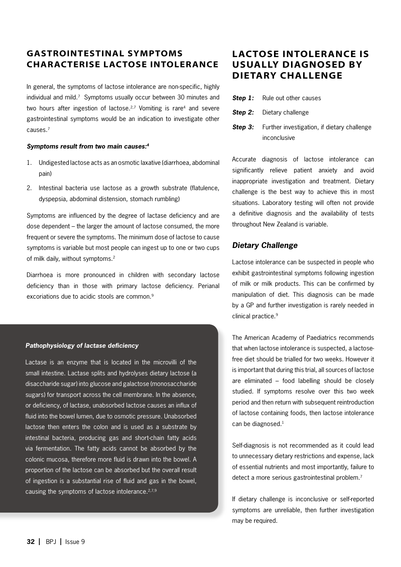# Gastrointestinal symptoms characterise lactose intolerance

In general, the symptoms of lactose intolerance are non-specific, highly individual and mild.<sup>7</sup> Symptoms usually occur between 30 minutes and two hours after ingestion of lactose.<sup>2,7</sup> Vomiting is rare<sup>4</sup> and severe gastrointestinal symptoms would be an indication to investigate other causes.7

#### *Symptoms result from two main causes:4*

- 1. Undigested lactose acts as an osmotic laxative (diarrhoea, abdominal pain)
- 2. Intestinal bacteria use lactose as a growth substrate (flatulence, dyspepsia, abdominal distension, stomach rumbling)

Symptoms are influenced by the degree of lactase deficiency and are dose dependent – the larger the amount of lactose consumed, the more frequent or severe the symptoms. The minimum dose of lactose to cause symptoms is variable but most people can ingest up to one or two cups of milk daily, without symptoms.<sup>2</sup>

Diarrhoea is more pronounced in children with secondary lactose deficiency than in those with primary lactose deficiency. Perianal excoriations due to acidic stools are common.<sup>9</sup>

#### *Pathophysiology of lactase deficiency*

Lactase is an enzyme that is located in the microvilli of the small intestine. Lactase splits and hydrolyses dietary lactose (a disaccharide sugar) into glucose and galactose (monosaccharide sugars) for transport across the cell membrane. In the absence, or deficiency, of lactase, unabsorbed lactose causes an influx of fluid into the bowel lumen, due to osmotic pressure. Unabsorbed lactose then enters the colon and is used as a substrate by intestinal bacteria, producing gas and short-chain fatty acids via fermentation. The fatty acids cannot be absorbed by the colonic mucosa, therefore more fluid is drawn into the bowel. A proportion of the lactose can be absorbed but the overall result of ingestion is a substantial rise of fluid and gas in the bowel, causing the symptoms of lactose intolerance.2,7,9

# Lactose intolerance is usually diagnosed by dietary challenge

- **Step 1:** Rule out other causes
- **Step 2:** Dietary challenge
- **Step 3:** Further investigation, if dietary challenge inconclusive

Accurate diagnosis of lactose intolerance can significantly relieve patient anxiety and avoid inappropriate investigation and treatment. Dietary challenge is the best way to achieve this in most situations. Laboratory testing will often not provide a definitive diagnosis and the availability of tests throughout New Zealand is variable.

## *Dietary Challenge*

Lactose intolerance can be suspected in people who exhibit gastrointestinal symptoms following ingestion of milk or milk products. This can be confirmed by manipulation of diet. This diagnosis can be made by a GP and further investigation is rarely needed in clinical practice.9

The American Academy of Paediatrics recommends that when lactose intolerance is suspected, a lactosefree diet should be trialled for two weeks. However it is important that during this trial, all sources of lactose are eliminated – food labelling should be closely studied. If symptoms resolve over this two week period and then return with subsequent reintroduction of lactose containing foods, then lactose intolerance can be diagnosed.<sup>1</sup>

Self-diagnosis is not recommended as it could lead to unnecessary dietary restrictions and expense, lack of essential nutrients and most importantly, failure to detect a more serious gastrointestinal problem.7

If dietary challenge is inconclusive or self-reported symptoms are unreliable, then further investigation may be required.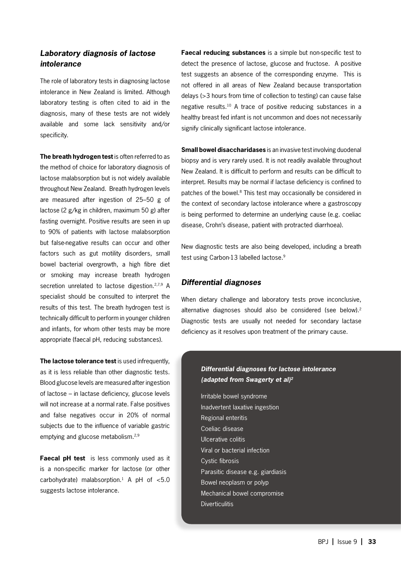## *Laboratory diagnosis of lactose intolerance*

The role of laboratory tests in diagnosing lactose intolerance in New Zealand is limited. Although laboratory testing is often cited to aid in the diagnosis, many of these tests are not widely available and some lack sensitivity and/or specificity.

**The breath hydrogen test** is often referred to as the method of choice for laboratory diagnosis of lactose malabsorption but is not widely available throughout New Zealand. Breath hydrogen levels are measured after ingestion of 25–50 g of lactose (2 g/kg in children, maximum 50 g) after fasting overnight. Positive results are seen in up to 90% of patients with lactose malabsorption but false-negative results can occur and other factors such as gut motility disorders, small bowel bacterial overgrowth, a high fibre diet or smoking may increase breath hydrogen secretion unrelated to lactose digestion.<sup>2,7,9</sup> A specialist should be consulted to interpret the results of this test. The breath hydrogen test is technically difficult to perform in younger children and infants, for whom other tests may be more appropriate (faecal pH, reducing substances).

**The lactose tolerance test** is used infrequently, as it is less reliable than other diagnostic tests. Blood glucose levels are measured after ingestion of lactose – in lactase deficiency, glucose levels will not increase at a normal rate. False positives and false negatives occur in 20% of normal subjects due to the influence of variable gastric emptying and glucose metabolism.<sup>2,9</sup>

**Faecal pH test** is less commonly used as it is a non-specific marker for lactose (or other carbohydrate) malabsorption.<sup>1</sup> A pH of  $< 5.0$ suggests lactose intolerance.

**Faecal reducing substances** is a simple but non-specific test to detect the presence of lactose, glucose and fructose. A positive test suggests an absence of the corresponding enzyme. This is not offered in all areas of New Zealand because transportation delays (>3 hours from time of collection to testing) can cause false negative results.10 A trace of positive reducing substances in a healthy breast fed infant is not uncommon and does not necessarily signify clinically significant lactose intolerance.

**Small bowel disaccharidases** is an invasive test involving duodenal biopsy and is very rarely used. It is not readily available throughout New Zealand. It is difficult to perform and results can be difficult to interpret. Results may be normal if lactase deficiency is confined to patches of the bowel.8 This test may occasionally be considered in the context of secondary lactose intolerance where a gastroscopy is being performed to determine an underlying cause (e.g. coeliac disease, Crohn's disease, patient with protracted diarrhoea).

New diagnostic tests are also being developed, including a breath test using Carbon-13 labelled lactose.9

## *Differential diagnoses*

When dietary challenge and laboratory tests prove inconclusive. alternative diagnoses should also be considered (see below).<sup>2</sup> Diagnostic tests are usually not needed for secondary lactase deficiency as it resolves upon treatment of the primary cause.

## *Differential diagnoses for lactose intolerance (adapted from Swagerty et al)2*

Irritable bowel syndrome Inadvertent laxative ingestion Regional enteritis Coeliac disease Ulcerative colitis Viral or bacterial infection Cystic fibrosis Parasitic disease e.g. giardiasis Bowel neoplasm or polyp Mechanical bowel compromise **Diverticulitis**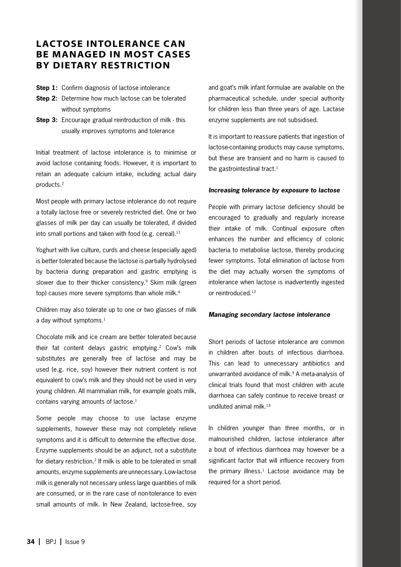# Lactose intolerance can be managed in most cases by dietary restriction

**Step 1:** Confirm diagnosis of lactose intolerance

- **Step 2:** Determine how much lactose can be tolerated without symptoms
- **Step 3:** Encourage gradual reintroduction of milk this usually improves symptoms and tolerance

Initial treatment of lactose intolerance is to minimise or avoid lactose containing foods. However, it is important to retain an adequate calcium intake, including actual dairy products.2

Most people with primary lactose intolerance do not require a totally lactose free or severely restricted diet. One or two glasses of milk per day can usually be tolerated, if divided into small portions and taken with food (e.g. cereal). $^{11}$ 

Yoghurt with live culture, curds and cheese (especially aged) is better tolerated because the lactose is partially hydrolysed by bacteria during preparation and gastric emptying is slower due to their thicker consistency.<sup>9</sup> Skim milk (green top) causes more severe symptoms than whole milk.<sup>4</sup>

Children may also tolerate up to one or two glasses of milk a day without symptoms.<sup>1</sup>

Chocolate milk and ice cream are better tolerated because their fat content delays gastric emptying.<sup>2</sup> Cow's milk substitutes are generally free of lactose and may be used (e.g. rice, soy) however their nutrient content is not equivalent to cow's milk and they should not be used in very young children. All mammalian milk, for example goats milk, contains varying amounts of lactose.<sup>1</sup>

Some people may choose to use lactase enzyme supplements, however these may not completely relieve symptoms and it is difficult to determine the effective dose. Enzyme supplements should be an adjunct, not a substitute for dietary restriction.2 If milk is able to be tolerated in small amounts, enzyme supplements are unnecessary. Low-lactose milk is generally not necessary unless large quantities of milk are consumed, or in the rare case of non-tolerance to even small amounts of milk. In New Zealand, lactose-free, soy

and goat's milk infant formulae are available on the pharmaceutical schedule, under special authority for children less than three years of age. Lactase enzyme supplements are not subsidised.

It is important to reassure patients that ingestion of lactose-containing products may cause symptoms, but these are transient and no harm is caused to the gastrointestinal tract.<sup>1</sup>

#### *Increasing tolerance by exposure to lactose*

People with primary lactose deficiency should be encouraged to gradually and regularly increase their intake of milk. Continual exposure often enhances the number and efficiency of colonic bacteria to metabolise lactose, thereby producing fewer symptoms. Total elimination of lactose from the diet may actually worsen the symptoms of intolerance when lactose is inadvertently ingested or reintroduced.12

#### *Managing secondary lactose intolerance*

Short periods of lactose intolerance are common in children after bouts of infectious diarrhoea. This can lead to unnecessary antibiotics and unwarranted avoidance of milk.<sup>9</sup> A meta-analysis of clinical trials found that most children with acute diarrhoea can safely continue to receive breast or undiluted animal milk.<sup>13</sup>

In children younger than three months, or in malnourished children, lactose intolerance after a bout of infectious diarrhoea may however be a significant factor that will influence recovery from the primary illness. $1$  Lactose avoidance may be required for a short period.